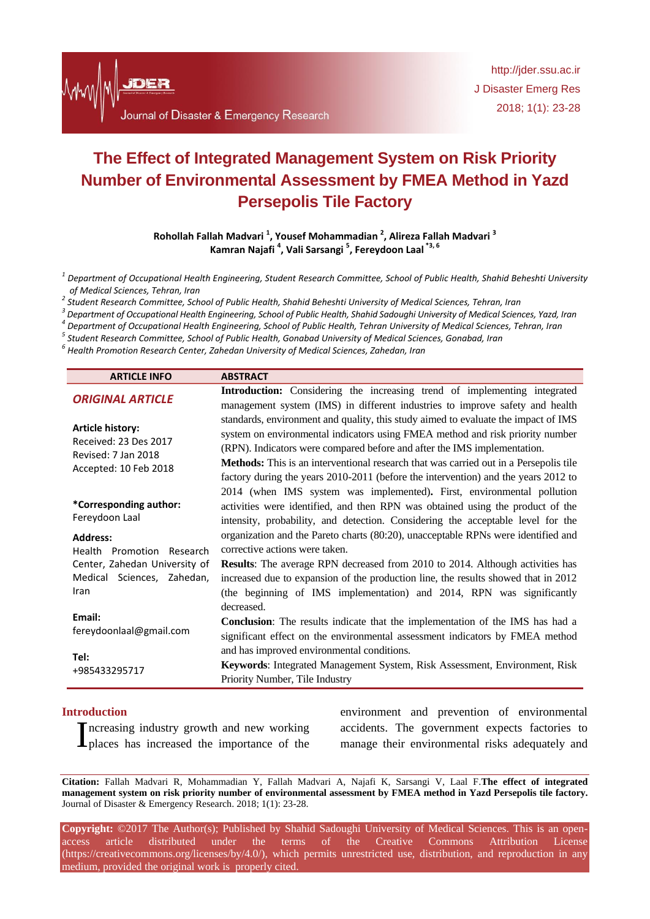

# **The Effect of Integrated Management System on Risk Priority Number of Environmental Assessment by FMEA Method in Yazd Persepolis Tile Factory**

**Rohollah Fallah Madvari <sup>1</sup> , Yousef Mohammadian <sup>2</sup> , Alireza Fallah Madvari <sup>3</sup> Kamran Najafi <sup>4</sup> , Vali Sarsangi <sup>5</sup> , Fereydoon Laal \*3, 6**

*1 Department of Occupational Health Engineering, Student Research Committee, School of Public Health, Shahid Beheshti University of Medical Sciences, Tehran, Iran*

*2 Student Research Committee, School of Public Health, Shahid Beheshti University of Medical Sciences, Tehran, Iran*

*3 Department of Occupational Health Engineering, School of Public Health, Shahid Sadoughi University of Medical Sciences, Yazd, Iran 4*

*Department of Occupational Health Engineering, School of Public Health, Tehran University of Medical Sciences, Tehran, Iran*

*5 Student Research Committee, School of Public Health, Gonabad University of Medical Sciences, Gonabad, Iran*

*6 Health Promotion Research Center, Zahedan University of Medical Sciences, Zahedan, Iran*

| <b>ARTICLE INFO</b>                                                                              | <b>ABSTRACT</b>                                                                                                                                                                                                                                                                                                                                                                                                                |
|--------------------------------------------------------------------------------------------------|--------------------------------------------------------------------------------------------------------------------------------------------------------------------------------------------------------------------------------------------------------------------------------------------------------------------------------------------------------------------------------------------------------------------------------|
| <b>ORIGINAL ARTICLE</b>                                                                          | <b>Introduction:</b> Considering the increasing trend of implementing integrated<br>management system (IMS) in different industries to improve safety and health                                                                                                                                                                                                                                                               |
| <b>Article history:</b><br>Received: 23 Des 2017<br>Revised: 7 Jan 2018<br>Accepted: 10 Feb 2018 | standards, environment and quality, this study aimed to evaluate the impact of IMS<br>system on environmental indicators using FMEA method and risk priority number<br>(RPN). Indicators were compared before and after the IMS implementation.<br>Methods: This is an interventional research that was carried out in a Persepolis tile<br>factory during the years 2010-2011 (before the intervention) and the years 2012 to |
| *Corresponding author:<br>Fereydoon Laal                                                         | 2014 (when IMS system was implemented). First, environmental pollution<br>activities were identified, and then RPN was obtained using the product of the<br>intensity, probability, and detection. Considering the acceptable level for the                                                                                                                                                                                    |
| <b>Address:</b>                                                                                  | organization and the Pareto charts (80:20), unacceptable RPNs were identified and                                                                                                                                                                                                                                                                                                                                              |
| Health Promotion Research                                                                        | corrective actions were taken.                                                                                                                                                                                                                                                                                                                                                                                                 |
| Center, Zahedan University of                                                                    | <b>Results:</b> The average RPN decreased from 2010 to 2014. Although activities has                                                                                                                                                                                                                                                                                                                                           |
| Medical Sciences, Zahedan,<br>Iran                                                               | increased due to expansion of the production line, the results showed that in 2012<br>(the beginning of IMS implementation) and 2014, RPN was significantly                                                                                                                                                                                                                                                                    |
| Email:<br>fereydoonlaal@gmail.com                                                                | decreased.                                                                                                                                                                                                                                                                                                                                                                                                                     |
|                                                                                                  | <b>Conclusion:</b> The results indicate that the implementation of the IMS has had a                                                                                                                                                                                                                                                                                                                                           |
|                                                                                                  | significant effect on the environmental assessment indicators by FMEA method                                                                                                                                                                                                                                                                                                                                                   |
| Tel:<br>+985433295717                                                                            | and has improved environmental conditions.                                                                                                                                                                                                                                                                                                                                                                                     |
|                                                                                                  | Keywords: Integrated Management System, Risk Assessment, Environment, Risk                                                                                                                                                                                                                                                                                                                                                     |
|                                                                                                  | Priority Number, Tile Industry                                                                                                                                                                                                                                                                                                                                                                                                 |
|                                                                                                  |                                                                                                                                                                                                                                                                                                                                                                                                                                |

#### **Introduction**

places has increased the importance of the

Increasing industry growth and new working accidents. The government expects factories to places has increased the importance of the manage their environmental risks adequately and environment and prevention of environmental

**Citation:** Fallah Madvari R, Mohammadian Y, Fallah Madvari A, Najafi K, Sarsangi V, Laal F.**The effect of integrated management system on risk priority number of environmental assessment by FMEA method in Yazd Persepolis tile factory.** Journal of Disaster & Emergency Research. 2018; 1(1): 23-28.

**Copyright:** ©2017 The Author(s); Published by Shahid Sadoughi University of Medical Sciences. This is an openaccess article distributed under the terms of the Creative Commons Attribution License (https://creativecommons.org/licenses/by/4.0/), which permits unrestricted use, distribution, and reproduction in any medium, provided the original work is properly cited.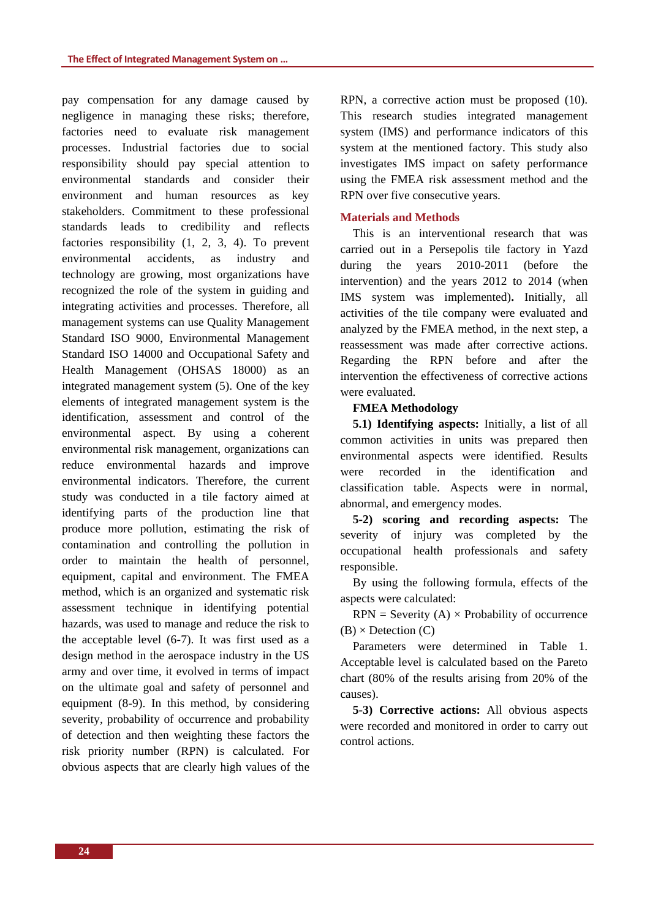pay compensation for any damage caused by negligence in managing these risks; therefore, factories need to evaluate risk management processes. Industrial factories due to social responsibility should pay special attention to environmental standards and consider their environment and human resources as key stakeholders. Commitment to these professional standards leads to credibility and reflects factories responsibility (1, 2, 3, 4). To prevent environmental accidents, as industry and technology are growing, most organizations have recognized the role of the system in guiding and integrating activities and processes. Therefore, all management systems can use Quality Management Standard ISO 9000, Environmental Management Standard ISO 14000 and Occupational Safety and Health Management (OHSAS 18000) as an integrated management system (5). One of the key elements of integrated management system is the identification, assessment and control of the environmental aspect. By using a coherent environmental risk management, organizations can reduce environmental hazards and improve environmental indicators. Therefore, the current study was conducted in a tile factory aimed at identifying parts of the production line that produce more pollution, estimating the risk of contamination and controlling the pollution in order to maintain the health of personnel, equipment, capital and environment. The FMEA method, which is an organized and systematic risk assessment technique in identifying potential hazards, was used to manage and reduce the risk to the acceptable level (6-7). It was first used as a design method in the aerospace industry in the US army and over time, it evolved in terms of impact on the ultimate goal and safety of personnel and equipment (8-9). In this method, by considering severity, probability of occurrence and probability of detection and then weighting these factors the risk priority number (RPN) is calculated. For obvious aspects that are clearly high values of the RPN, a corrective action must be proposed (10). This research studies integrated management system (IMS) and performance indicators of this system at the mentioned factory. This study also investigates IMS impact on safety performance using the FMEA risk assessment method and the RPN over five consecutive years.

# **Materials and Methods**

This is an interventional research that was carried out in a Persepolis tile factory in Yazd during the years 2010-2011 (before the intervention) and the years 2012 to 2014 (when IMS system was implemented)**.** Initially, all activities of the tile company were evaluated and analyzed by the FMEA method, in the next step, a reassessment was made after corrective actions. Regarding the RPN before and after the intervention the effectiveness of corrective actions were evaluated.

# **FMEA Methodology**

**5.1) Identifying aspects:** Initially, a list of all common activities in units was prepared then environmental aspects were identified. Results were recorded in the identification and classification table. Aspects were in normal, abnormal, and emergency modes.

**5-2) scoring and recording aspects:** The severity of injury was completed by the occupational health professionals and safety responsible.

By using the following formula, effects of the aspects were calculated:

 $RPN =$  Severity  $(A) \times$  Probability of occurrence  $(B) \times$  Detection  $(C)$ 

Parameters were determined in Table 1. Acceptable level is calculated based on the Pareto chart (80% of the results arising from 20% of the causes).

**5-3) Corrective actions:** All obvious aspects were recorded and monitored in order to carry out control actions.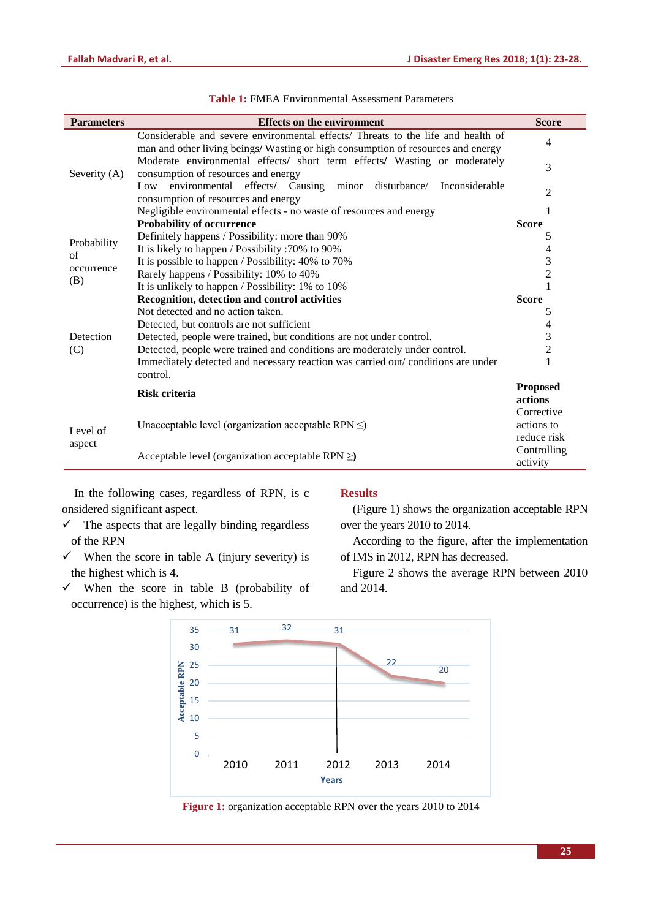| <b>Parameters</b>                      | <b>Effects on the environment</b>                                                                                                                                    | <b>Score</b>            |
|----------------------------------------|----------------------------------------------------------------------------------------------------------------------------------------------------------------------|-------------------------|
| Severity (A)                           | Considerable and severe environmental effects/ Threats to the life and health of<br>man and other living beings/ Wasting or high consumption of resources and energy | 4                       |
|                                        | Moderate environmental effects/ short term effects/ Wasting or moderately<br>consumption of resources and energy                                                     | 3                       |
|                                        | Low environmental effects/ Causing<br>disturbance/ Inconsiderable<br>minor<br>consumption of resources and energy                                                    | 2                       |
|                                        | Negligible environmental effects - no waste of resources and energy                                                                                                  |                         |
| Probability<br>of<br>occurrence<br>(B) | Probability of occurrence                                                                                                                                            | <b>Score</b>            |
|                                        | Definitely happens / Possibility: more than 90%                                                                                                                      | 5                       |
|                                        | It is likely to happen / Possibility :70% to 90%                                                                                                                     | 4                       |
|                                        | It is possible to happen / Possibility: 40% to 70%                                                                                                                   | 3                       |
|                                        | Rarely happens / Possibility: 10% to 40%                                                                                                                             | $\overline{c}$          |
|                                        | It is unlikely to happen / Possibility: 1% to 10%                                                                                                                    |                         |
| Detection<br>(C)                       | Recognition, detection and control activities                                                                                                                        | <b>Score</b>            |
|                                        | Not detected and no action taken.                                                                                                                                    | 5                       |
|                                        | Detected, but controls are not sufficient                                                                                                                            | 4                       |
|                                        | Detected, people were trained, but conditions are not under control.                                                                                                 | 3                       |
|                                        | Detected, people were trained and conditions are moderately under control.                                                                                           | 2                       |
|                                        | Immediately detected and necessary reaction was carried out/conditions are under<br>control.                                                                         |                         |
|                                        | <b>Risk criteria</b>                                                                                                                                                 | <b>Proposed</b>         |
| Level of<br>aspect                     |                                                                                                                                                                      | actions                 |
|                                        |                                                                                                                                                                      | Corrective              |
|                                        | Unacceptable level (organization acceptable RPN $\leq$ )                                                                                                             | actions to              |
|                                        |                                                                                                                                                                      | reduce risk             |
|                                        | Acceptable level (organization acceptable RPN $\geq$ )                                                                                                               | Controlling<br>activity |

**Table 1:** FMEA Environmental Assessment Parameters

In the following cases, regardless of RPN, is c onsidered significant aspect.

- $\checkmark$  The aspects that are legally binding regardless of the RPN
- $\checkmark$  When the score in table A (injury severity) is the highest which is 4.
- $\checkmark$  When the score in table B (probability of occurrence) is the highest, which is 5.

# **Results**

(Figure 1) shows the organization acceptable RPN over the years 2010 to 2014.

According to the figure, after the implementation of IMS in 2012, RPN has decreased.

Figure 2 shows the average RPN between 2010 and 2014.



**Figure 1:** organization acceptable RPN over the years 2010 to 2014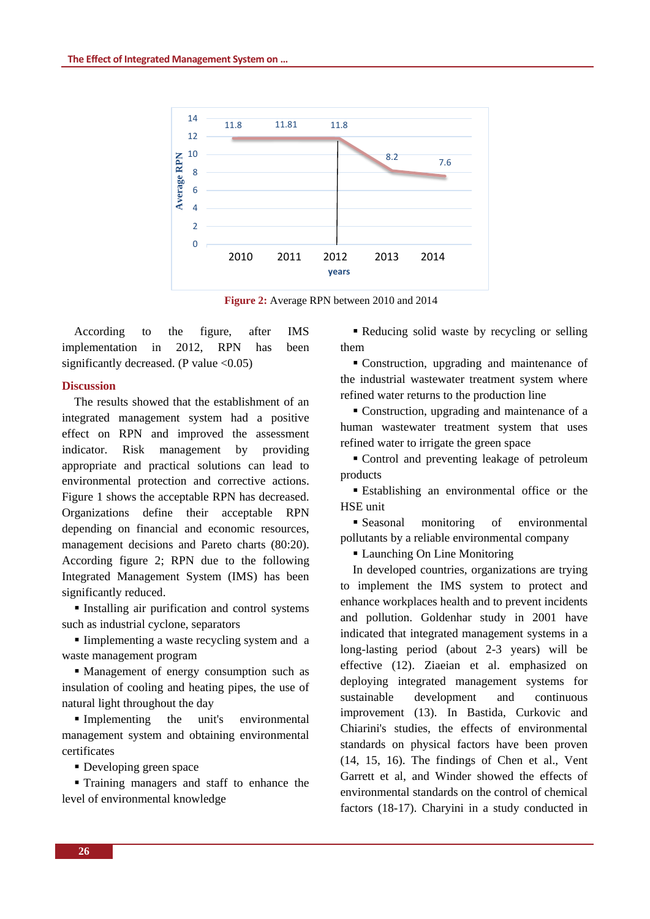

**Figure 2:** Average RPN between 2010 and 2014

According to the figure, after IMS implementation in 2012, RPN has been significantly decreased. (P value  $\langle 0.05 \rangle$ 

#### **Discussion**

The results showed that the establishment of an integrated management system had a positive effect on RPN and improved the assessment indicator. Risk management by providing appropriate and practical solutions can lead to environmental protection and corrective actions. Figure 1 shows the acceptable RPN has decreased. Organizations define their acceptable RPN depending on financial and economic resources, management decisions and Pareto charts (80:20). According figure 2; RPN due to the following Integrated Management System (IMS) has been significantly reduced.

 Installing air purification and control systems such as industrial cyclone, separators

Implementing a waste recycling system and a waste management program

 Management of energy consumption such as insulation of cooling and heating pipes, the use of natural light throughout the day

Implementing the unit's environmental management system and obtaining environmental certificates

Developing green space

 Training managers and staff to enhance the level of environmental knowledge

Reducing solid waste by recycling or selling them

 Construction, upgrading and maintenance of the industrial wastewater treatment system where refined water returns to the production line

 Construction, upgrading and maintenance of a human wastewater treatment system that uses refined water to irrigate the green space

 Control and preventing leakage of petroleum products

 Establishing an environmental office or the HSE unit

 Seasonal monitoring of environmental pollutants by a reliable environmental company

Launching On Line Monitoring

In developed countries, organizations are trying to implement the IMS system to protect and enhance workplaces health and to prevent incidents and pollution. Goldenhar study in 2001 have indicated that integrated management systems in a long-lasting period (about 2-3 years) will be effective (12). Ziaeian et al. emphasized on deploying integrated management systems for sustainable development and continuous improvement (13). In Bastida, Curkovic and Chiarini's studies, the effects of environmental standards on physical factors have been proven (14, 15, 16). The findings of Chen et al., Vent Garrett et al, and Winder showed the effects of environmental standards on the control of chemical factors (18-17). Charyini in a study conducted in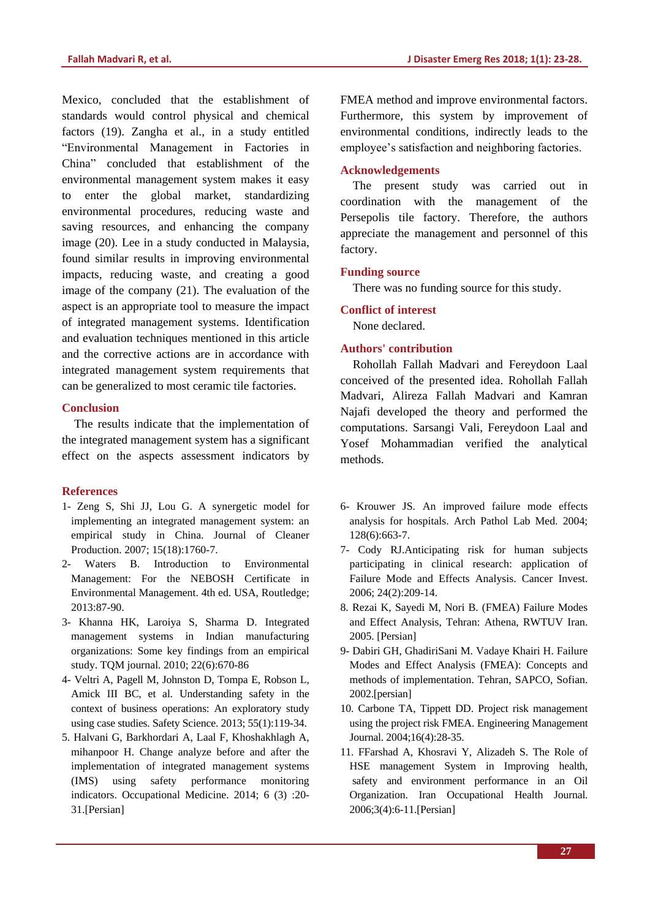Mexico, concluded that the establishment of standards would control physical and chemical factors (19). Zangha et al., in a study entitled "Environmental Management in Factories in China" concluded that establishment of the environmental management system makes it easy to enter the global market, standardizing environmental procedures, reducing waste and saving resources, and enhancing the company image (20). Lee in a study conducted in Malaysia, found similar results in improving environmental impacts, reducing waste, and creating a good image of the company (21). The evaluation of the aspect is an appropriate tool to measure the impact of integrated management systems. Identification and evaluation techniques mentioned in this article and the corrective actions are in accordance with integrated management system requirements that can be generalized to most ceramic tile factories.

# **Conclusion**

The results indicate that the implementation of the integrated management system has a significant effect on the aspects assessment indicators by

# **References**

- 1- Zeng S, Shi JJ, Lou G. A synergetic model for implementing an integrated management system: an empirical study in China. Journal of Cleaner Production. 2007; 15(18):1760-7.
- 2- Waters B. Introduction to Environmental Management: For the NEBOSH Certificate in Environmental Management. 4th ed. USA, Routledge; 2013:87-90.
- 3- Khanna HK, Laroiya S, Sharma D. Integrated management systems in Indian manufacturing organizations: Some key findings from an empirical study. TQM journal. 2010; 22(6):670-86
- 4- Veltri A, Pagell M, Johnston D, Tompa E, Robson L, Amick III BC, et al. Understanding safety in the context of business operations: An exploratory study using case studies. Safety Science. 2013; 55(1):119-34.
- 5. Halvani G, Barkhordari A, Laal F, Khoshakhlagh A, mihanpoor H. Change analyze before and after the implementation of integrated management systems (IMS) using safety performance monitoring indicators. Occupational Medicine. 2014; 6 (3) :20- 31.[Persian]

FMEA method and improve environmental factors. Furthermore, this system by improvement of environmental conditions, indirectly leads to the employee's satisfaction and neighboring factories.

### **Acknowledgements**

The present study was carried out in coordination with the management of the Persepolis tile factory. Therefore, the authors appreciate the management and personnel of this factory.

### **Funding source**

There was no funding source for this study.

#### **Conflict of interest**

None declared.

#### **Authors' contribution**

Rohollah Fallah Madvari and Fereydoon Laal conceived of the presented idea. Rohollah Fallah Madvari, Alireza Fallah Madvari and Kamran Najafi developed the theory and performed the computations. Sarsangi Vali, Fereydoon Laal and Yosef Mohammadian verified the analytical methods.

- 6- Krouwer JS. An improved failure mode effects analysis for hospitals. Arch Pathol Lab Med. 2004; 128(6):663-7.
- 7- Cody RJ.Anticipating risk for human subjects participating in clinical research: application of Failure Mode and Effects Analysis. Cancer Invest. 2006; 24(2):209-14.
- 8. Rezai K, Sayedi M, Nori B. (FMEA) Failure Modes and Effect Analysis, Tehran: Athena, RWTUV Iran. 2005. [Persian]
- 9- Dabiri GH, GhadiriSani M. Vadaye Khairi H. Failure Modes and Effect Analysis (FMEA): Concepts and methods of implementation. Tehran, SAPCO, Sofian. 2002.[persian]
- 10. Carbone TA, Tippett DD. Project risk management using the project risk FMEA. Engineering Management Journal. 2004;16(4):28-35.
- 11. FFarshad A, Khosravi Y, Alizadeh S. The Role of HSE management System in Improving health, safety and environment performance in an Oil Organization. Iran Occupational Health Journal. 2006;3(4):6-11.[Persian]